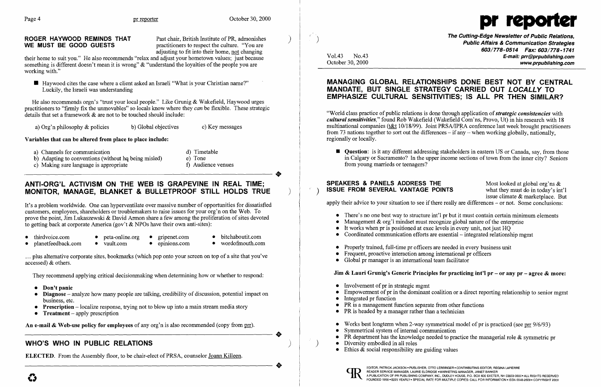ROGER HAYWOOD REMINDS THAT Past chair, British Institute of PR, admonishes **WE MUST BE GOOD GUESTS** practitioners to respect the culture. "You are adjusting to fit into their home, not changing



• Haywood cites the case where a client asked an Israeli "What is your Christian name?" Luckily, the Israeli was understanding

their home to suit you." He also recommends "relax and adjust your hometown values; just because something is different doesn't mean it is wrong" & "understand the loyalties of the people you are working with."

# ANTI-ORG'L ACTIVISM ON THE WEB IS GRAPEVINE IN REAL TIME; MONITOR, MANAGE, BLANKET & BULLETPROOF STILL HOLDS TRUE

He also recommends orgn's "trust your local people." Like Grunig & Wakefield, Haywood urges practitioners to "firmly fix the unmovables" so locals know where they *can* be flexible. These strategic details that set a framework & are not to be touched should include:

a) Org'n philosophy  $\&$  policies b) Global objectives c) Key messages

### Variables that can be altered from place to place include:

- 
- b) Adapting to conventions (without hq being misled)<br>
c) Making sure language is appropriate<br>
c) Making sure language is appropriate<br>
c) Making sure language is appropriate<br>
c)  $\frac{1}{2}$  and  $\frac{1}{2}$  and  $\frac{1}{2}$  and  $\frac$ a) Channels for communication <br>b) Adapting to conventions (without ha being misled) <br>e) Tone b) Adapting to conventions (without hq being misled)
	- c) Making sure language is appropriate f) Audience venues
- 
- 

..

The Cutting-Edge Newsletter of Public Relations, ) Public Affairs & Communication Strategies 603/778-0514 Fax: 603/778-1741 Vol.43 No.43 **No.43** No.43 No.43 No.43 No.43 No.43 Re-mail: prr@prpublishing.com www.prpublishing.com

**• Question:** is it any different addressing stakeholders in eastern US or Canada, say, from those in Calgary or Sacramento? In the upper income sections of town from the inner city? Seniors

Empowerment of pr in the dominant coalition or a direct reporting relationship to senior mgmt

• PR department has the knowledge needed to practice the managerial role  $\&$  symmetric pr

It's a problem worldwide. One can hyperventilate over massive number of opportunities for dissatisfied customers, employees, shareholders or troublemakers to raise issues for your org'n on the Web. To prove the point, Jim Lukaszewski & David Armon share a few among the proliferation of sites devoted to getting back at corporate America (gov't & NPOs have their own anti-sites):

- 
- 
- thirdvoice.com peta-online.org gripenet.com bitchaboutit.com peta-online.org gripenet.com bitchaboutit.com planetfeedback.com • vault.com • epinions.com
	-

"World class practice of public relations is done through application of *strategic consistencies* with *cultural sensitivities,"* found Rob Wakefield (Wakefield Com'ns, Provo, Ut) in his research with 18 multinational companies (t&t 10/18/99). Joint PRSAlIPRA conference last week brought practitioners from 73 nations together to sort out the differences – if any – when working globally, nationally, regionally or locally.

... plus alternative corporate sites, bookmarks (which pop onto your screen on top of a site that you've accessed) & others.

They recommend applying critical decisionmaking when determining how or whether to respond:

- Don't panic
- Diagnose analyze how many people are talking, credibility of discussion, potential impact on business, etc.
- Prescription  $-\text{localize}$  response, trying not to blow up into a main stream media story
- Treatment  $-$  apply prescription

Treatment – apply prescription<br>An e-mail & Web-use policy for employees of any org'n is also recommended (copy from prr). An e-mail & Web-use policy for employees of any org'n is also recommended (copy from  $prr$ ).

# WHO'S WHO IN PUBLIC RELATIONS

ELECTED. From the Assembly floor, to be chair-elect of PRSA, counselor <u>Joann Killeen</u>. ELECTED. From the Assembly floor, to be chair-elect of PRSA, counselor Joann Killeen.

..

 $\clubsuit$ 

## MANAGING GLOBAL RELATIONSHIPS DONE BEST NOT BY CENTRAL MANDATE, BUT SINGLE STRATEGY CARRIED OUT LOCALLY TO EMPHASIZE CULTURAL SENSITIVITIES; IS ALL PR THEN SIMILAR?

from young marrieds or teenagers?

**SPEAKERS & PANELS ADDRESS THE** Most looked at global org'ns  $\&$  **ISSUE FROM SEVERAL VANTAGE POINTS** what they must do in today's int'l **ISSUE FROM SEVERAL VANTAGE POINTS** issue climate & marketplace. But apply their advice to your situation to see if there really are differences  $-$  or not. Some conclusions:

- There's no one best way to structure int'l pr but it must contain certain minimum elements
- Management  $\&$  org'l mindset must recognize global nature of the enterprise
- It works when pr is positioned at exec levels in every unit, not just HQ
- Coordinated communication efforts are essential  $-$  integrated relationship mgmt
- Properly trained, full-time pr officers are needed in every business unit
- Frequent, proactive interaction among international pr officers
- Global pr manager is an international team facilitator

### Jim & Lauri Grunig's Generic Principles for practicing int'l pr – or any  $pr -$  agree & more:

- Involvement of pr in strategic mgmt
- 
- Integrated pr function
- PR is a management function separate from other functions
- PR is headed by a manager rather than a technician
- Works best longterm when 2-way symmetrical model of pr is practiced (see prr  $9/6/93$ )
- Symmetrical system of internal communication
- 
- ) Diversity embodied in all roles
	- Ethics  $\&$  social responsibility are guiding values